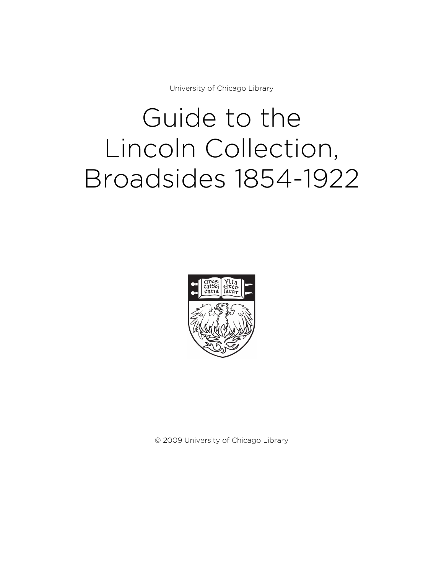University of Chicago Library

# Guide to the Lincoln Collection, Broadsides 1854-1922



© 2009 University of Chicago Library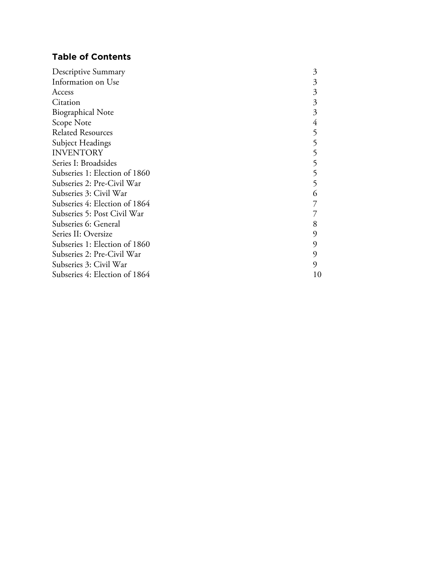# **Table of Contents**

| Descriptive Summary           | 3  |
|-------------------------------|----|
| Information on Use            | 3  |
| Access                        | 3  |
| Citation                      | 3  |
| <b>Biographical Note</b>      | 3  |
| Scope Note                    |    |
| <b>Related Resources</b>      | 5  |
| Subject Headings              | 5  |
| <b>INVENTORY</b>              | 5  |
| Series I: Broadsides          |    |
| Subseries 1: Election of 1860 | 5  |
| Subseries 2: Pre-Civil War    | 5  |
| Subseries 3: Civil War        | 6  |
| Subseries 4: Election of 1864 |    |
| Subseries 5: Post Civil War   |    |
| Subseries 6: General          | 8  |
| Series II: Oversize           | 9  |
| Subseries 1: Election of 1860 | 9  |
| Subseries 2: Pre-Civil War    | 9  |
| Subseries 3: Civil War        | 9  |
| Subseries 4: Election of 1864 | 10 |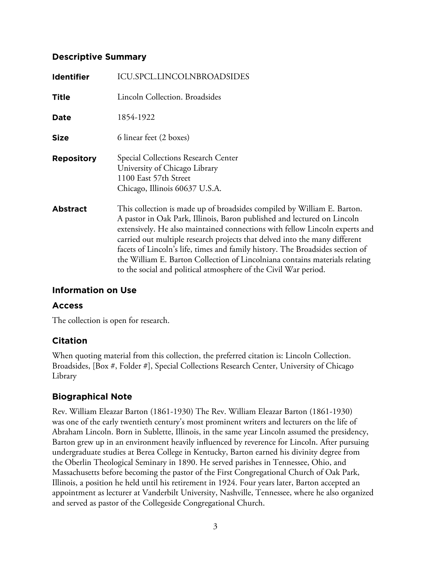## **Descriptive Summary**

| <b>Identifier</b> | <b>ICU.SPCL.LINCOLNBROADSIDES</b>                                                                                                                                                                                                                                                                                                                                                                                                                                                                                                                  |
|-------------------|----------------------------------------------------------------------------------------------------------------------------------------------------------------------------------------------------------------------------------------------------------------------------------------------------------------------------------------------------------------------------------------------------------------------------------------------------------------------------------------------------------------------------------------------------|
| <b>Title</b>      | Lincoln Collection. Broadsides                                                                                                                                                                                                                                                                                                                                                                                                                                                                                                                     |
| Date              | 1854-1922                                                                                                                                                                                                                                                                                                                                                                                                                                                                                                                                          |
| <b>Size</b>       | 6 linear feet (2 boxes)                                                                                                                                                                                                                                                                                                                                                                                                                                                                                                                            |
| <b>Repository</b> | Special Collections Research Center<br>University of Chicago Library<br>1100 East 57th Street<br>Chicago, Illinois 60637 U.S.A.                                                                                                                                                                                                                                                                                                                                                                                                                    |
| <b>Abstract</b>   | This collection is made up of broadsides compiled by William E. Barton.<br>A pastor in Oak Park, Illinois, Baron published and lectured on Lincoln<br>extensively. He also maintained connections with fellow Lincoln experts and<br>carried out multiple research projects that delved into the many different<br>facets of Lincoln's life, times and family history. The Broadsides section of<br>the William E. Barton Collection of Lincolniana contains materials relating<br>to the social and political atmosphere of the Civil War period. |

# **Information on Use**

## **Access**

The collection is open for research.

## **Citation**

When quoting material from this collection, the preferred citation is: Lincoln Collection. Broadsides, [Box #, Folder #], Special Collections Research Center, University of Chicago Library

## **Biographical Note**

Rev. William Eleazar Barton (1861-1930) The Rev. William Eleazar Barton (1861-1930) was one of the early twentieth century's most prominent writers and lecturers on the life of Abraham Lincoln. Born in Sublette, Illinois, in the same year Lincoln assumed the presidency, Barton grew up in an environment heavily influenced by reverence for Lincoln. After pursuing undergraduate studies at Berea College in Kentucky, Barton earned his divinity degree from the Oberlin Theological Seminary in 1890. He served parishes in Tennessee, Ohio, and Massachusetts before becoming the pastor of the First Congregational Church of Oak Park, Illinois, a position he held until his retirement in 1924. Four years later, Barton accepted an appointment as lecturer at Vanderbilt University, Nashville, Tennessee, where he also organized and served as pastor of the Collegeside Congregational Church.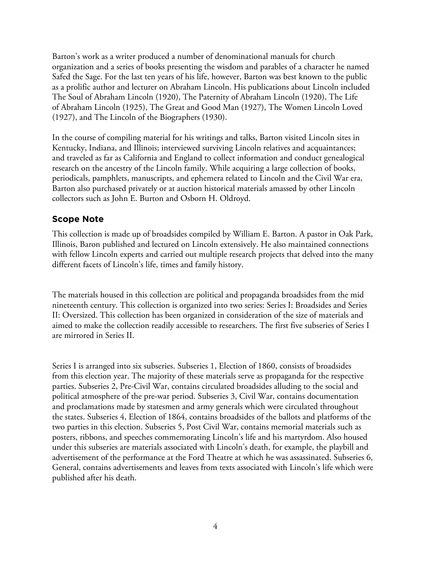Barton's work as a writer produced a number of denominational manuals for church organization and a series of books presenting the wisdom and parables of a character he named Safed the Sage. For the last ten years of his life, however, Barton was best known to the public as a prolific author and lecturer on Abraham Lincoln. His publications about Lincoln included The Soul of Abraham Lincoln (1920), The Paternity of Abraham Lincoln (1920), The Life of Abraham Lincoln (1925), The Great and Good Man (1927), The Women Lincoln Loved (1927), and The Lincoln of the Biographers (1930).

In the course of compiling material for his writings and talks, Barton visited Lincoln sites in Kentucky, Indiana, and Illinois; interviewed surviving Lincoln relatives and acquaintances; and traveled as far as California and England to collect information and conduct genealogical research on the ancestry of the Lincoln family. While acquiring a large collection of books, periodicals, pamphlets, manuscripts, and ephemera related to Lincoln and the Civil War era, Barton also purchased privately or at auction historical materials amassed by other Lincoln collectors such as John E. Burton and Osborn H. Oldroyd.

## **Scope Note**

This collection is made up of broadsides compiled by William E. Barton. A pastor in Oak Park, Illinois, Baron published and lectured on Lincoln extensively. He also maintained connections with fellow Lincoln experts and carried out multiple research projects that delved into the many different facets of Lincoln's life, times and family history.

The materials housed in this collection are political and propaganda broadsides from the mid nineteenth century. This collection is organized into two series: Series I: Broadsides and Series II: Oversized. This collection has been organized in consideration of the size of materials and aimed to make the collection readily accessible to researchers. The first five subseries of Series I are mirrored in Series II.

Series I is arranged into six subseries. Subseries 1, Election of 1860, consists of broadsides from this election year. The majority of these materials serve as propaganda for the respective parties. Subseries 2, Pre-Civil War, contains circulated broadsides alluding to the social and political atmosphere of the pre-war period. Subseries 3, Civil War, contains documentation and proclamations made by statesmen and army generals which were circulated throughout the states. Subseries 4, Election of 1864, contains broadsides of the ballots and platforms of the two parties in this election. Subseries 5, Post Civil War, contains memorial materials such as posters, ribbons, and speeches commemorating Lincoln's life and his martyrdom. Also housed under this subseries are materials associated with Lincoln's death, for example, the playbill and advertisement of the performance at the Ford Theatre at which he was assassinated. Subseries 6, General, contains advertisements and leaves from texts associated with Lincoln's life which were published after his death.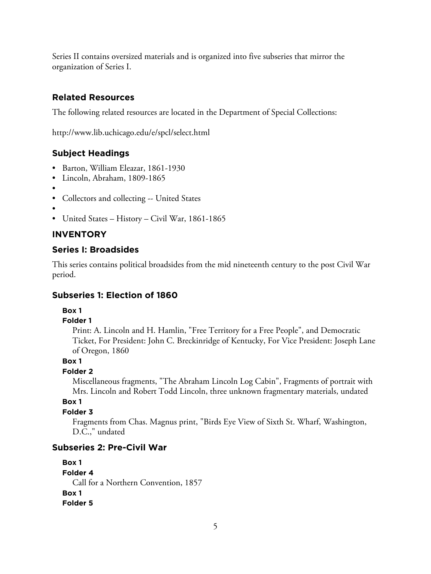Series II contains oversized materials and is organized into five subseries that mirror the organization of Series I.

# **Related Resources**

The following related resources are located in the Department of Special Collections:

http://www.lib.uchicago.edu/e/spcl/select.html

# **Subject Headings**

- Barton, William Eleazar, 1861-1930
- Lincoln, Abraham, 1809-1865
- •
- Collectors and collecting -- United States
- •
- United States History Civil War, 1861-1865

# **INVENTORY**

# **Series I: Broadsides**

This series contains political broadsides from the mid nineteenth century to the post Civil War period.

# **Subseries 1: Election of 1860**

## **Box 1**

## **Folder 1**

Print: A. Lincoln and H. Hamlin, "Free Territory for a Free People", and Democratic Ticket, For President: John C. Breckinridge of Kentucky, For Vice President: Joseph Lane of Oregon, 1860

## **Box 1**

## **Folder 2**

Miscellaneous fragments, "The Abraham Lincoln Log Cabin", Fragments of portrait with Mrs. Lincoln and Robert Todd Lincoln, three unknown fragmentary materials, undated

## **Box 1**

## **Folder 3**

Fragments from Chas. Magnus print, "Birds Eye View of Sixth St. Wharf, Washington, D.C.," undated

## **Subseries 2: Pre-Civil War**

**Box 1 Folder 4** Call for a Northern Convention, 1857 **Box 1 Folder 5**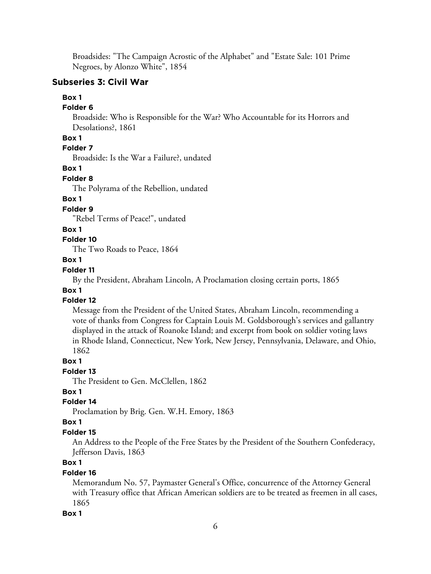Broadsides: "The Campaign Acrostic of the Alphabet" and "Estate Sale: 101 Prime Negroes, by Alonzo White", 1854

## **Subseries 3: Civil War**

## **Box 1**

#### **Folder 6**

Broadside: Who is Responsible for the War? Who Accountable for its Horrors and Desolations?, 1861

## **Box 1**

# **Folder 7**

Broadside: Is the War a Failure?, undated

#### **Box 1**

#### **Folder 8**

The Polyrama of the Rebellion, undated

## **Box 1**

## **Folder 9**

"Rebel Terms of Peace!", undated

## **Box 1**

## **Folder 10**

The Two Roads to Peace, 1864

## **Box 1**

## **Folder 11**

By the President, Abraham Lincoln, A Proclamation closing certain ports, 1865

## **Box 1**

## **Folder 12**

Message from the President of the United States, Abraham Lincoln, recommending a vote of thanks from Congress for Captain Louis M. Goldsborough's services and gallantry displayed in the attack of Roanoke Island; and excerpt from book on soldier voting laws in Rhode Island, Connecticut, New York, New Jersey, Pennsylvania, Delaware, and Ohio, 1862

#### **Box 1**

#### **Folder 13**

The President to Gen. McClellen, 1862

## **Box 1**

## **Folder 14**

Proclamation by Brig. Gen. W.H. Emory, 1863

#### **Box 1**

## **Folder 15**

An Address to the People of the Free States by the President of the Southern Confederacy, Jefferson Davis, 1863

## **Box 1**

## **Folder 16**

Memorandum No. 57, Paymaster General's Office, concurrence of the Attorney General with Treasury office that African American soldiers are to be treated as freemen in all cases, 1865

#### **Box 1**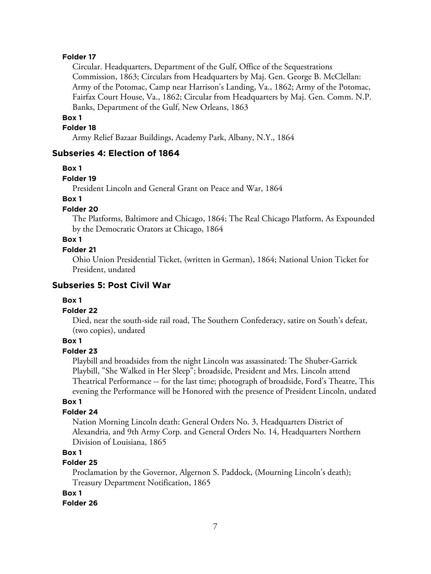#### **Folder 17**

Circular. Headquarters, Department of the Gulf, Office of the Sequestrations Commission, 1863; Circulars from Headquarters by Maj. Gen. George B. McClellan: Army of the Potomac, Camp near Harrison's Landing, Va., 1862; Army of the Potomac, Fairfax Court House, Va., 1862; Circular from Headquarters by Maj. Gen. Comm. N.P. Banks, Department of the Gulf, New Orleans, 1863

#### **Box 1**

#### **Folder 18**

Army Relief Bazaar Buildings, Academy Park, Albany, N.Y., 1864

#### **Subseries 4: Election of 1864**

#### **Box 1**

#### **Folder 19**

President Lincoln and General Grant on Peace and War, 1864

## **Box 1**

## **Folder 20**

The Platforms, Baltimore and Chicago, 1864; The Real Chicago Platform, As Expounded by the Democratic Orators at Chicago, 1864

## **Box 1**

#### **Folder 21**

Ohio Union Presidential Ticket, (written in German), 1864; National Union Ticket for President, undated

#### **Subseries 5: Post Civil War**

#### **Box 1**

#### **Folder 22**

Died, near the south-side rail road, The Southern Confederacy, satire on South's defeat, (two copies), undated

#### **Box 1**

## **Folder 23**

Playbill and broadsides from the night Lincoln was assassinated: The Shuber-Garrick Playbill, "She Walked in Her Sleep"; broadside, President and Mrs. Lincoln attend Theatrical Performance -- for the last time; photograph of broadside, Ford's Theatre, This evening the Performance will be Honored with the presence of President Lincoln, undated

#### **Box 1**

#### **Folder 24**

Nation Morning Lincoln death: General Orders No. 3, Headquarters District of Alexandria, and 9th Army Corp. and General Orders No. 14, Headquarters Northern Division of Louisiana, 1865

## **Box 1**

## **Folder 25**

Proclamation by the Governor, Algernon S. Paddock, (Mourning Lincoln's death); Treasury Department Notification, 1865

#### **Box 1**

#### **Folder 26**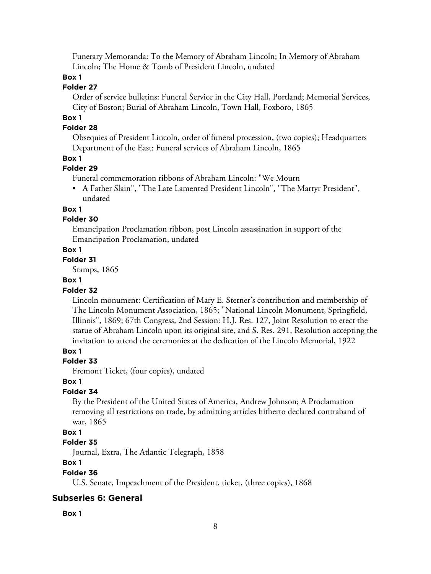Funerary Memoranda: To the Memory of Abraham Lincoln; In Memory of Abraham Lincoln; The Home & Tomb of President Lincoln, undated

## **Box 1**

## **Folder 27**

Order of service bulletins: Funeral Service in the City Hall, Portland; Memorial Services, City of Boston; Burial of Abraham Lincoln, Town Hall, Foxboro, 1865

## **Box 1**

## **Folder 28**

Obsequies of President Lincoln, order of funeral procession, (two copies); Headquarters Department of the East: Funeral services of Abraham Lincoln, 1865

#### **Box 1**

## **Folder 29**

Funeral commemoration ribbons of Abraham Lincoln: "We Mourn

• A Father Slain", "The Late Lamented President Lincoln", "The Martyr President", undated

## **Box 1**

## **Folder 30**

Emancipation Proclamation ribbon, post Lincoln assassination in support of the Emancipation Proclamation, undated

#### **Box 1**

## **Folder 31**

Stamps, 1865

#### **Box 1**

#### **Folder 32**

Lincoln monument: Certification of Mary E. Sterner's contribution and membership of The Lincoln Monument Association, 1865; "National Lincoln Monument, Springfield, Illinois", 1869; 67th Congress, 2nd Session: H.J. Res. 127, Joint Resolution to erect the statue of Abraham Lincoln upon its original site, and S. Res. 291, Resolution accepting the invitation to attend the ceremonies at the dedication of the Lincoln Memorial, 1922

## **Box 1**

#### **Folder 33**

Fremont Ticket, (four copies), undated

#### **Box 1**

#### **Folder 34**

By the President of the United States of America, Andrew Johnson; A Proclamation removing all restrictions on trade, by admitting articles hitherto declared contraband of war, 1865

## **Box 1**

## **Folder 35**

Journal, Extra, The Atlantic Telegraph, 1858

# **Box 1**

#### **Folder 36**

U.S. Senate, Impeachment of the President, ticket, (three copies), 1868

## **Subseries 6: General**

#### **Box 1**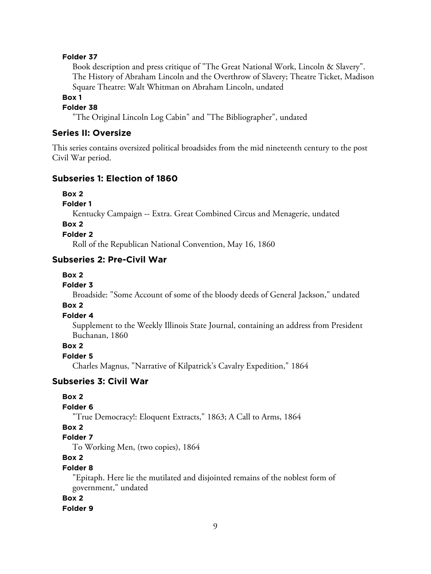#### **Folder 37**

Book description and press critique of "The Great National Work, Lincoln & Slavery". The History of Abraham Lincoln and the Overthrow of Slavery; Theatre Ticket, Madison Square Theatre: Walt Whitman on Abraham Lincoln, undated

**Box 1**

**Folder 38**

"The Original Lincoln Log Cabin" and "The Bibliographer", undated

## **Series II: Oversize**

This series contains oversized political broadsides from the mid nineteenth century to the post Civil War period.

#### **Subseries 1: Election of 1860**

**Box 2**

**Folder 1**

Kentucky Campaign -- Extra. Great Combined Circus and Menagerie, undated

**Box 2**

**Folder 2**

Roll of the Republican National Convention, May 16, 1860

## **Subseries 2: Pre-Civil War**

## **Box 2**

#### **Folder 3**

Broadside: "Some Account of some of the bloody deeds of General Jackson," undated

#### **Box 2**

#### **Folder 4**

Supplement to the Weekly Illinois State Journal, containing an address from President Buchanan, 1860

# **Box 2**

**Folder 5**

Charles Magnus, "Narrative of Kilpatrick's Cavalry Expedition," 1864

## **Subseries 3: Civil War**

#### **Box 2**

## **Folder 6**

"True Democracy!: Eloquent Extracts," 1863; A Call to Arms, 1864

# **Box 2**

# **Folder 7**

To Working Men, (two copies), 1864

#### **Box 2**

#### **Folder 8**

"Epitaph. Here lie the mutilated and disjointed remains of the noblest form of government," undated

## **Box 2**

**Folder 9**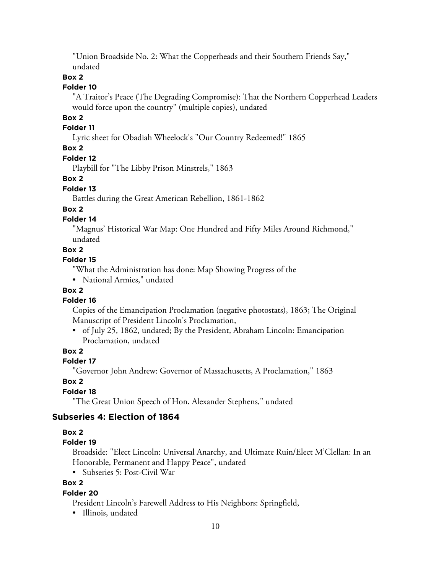"Union Broadside No. 2: What the Copperheads and their Southern Friends Say," undated

#### **Box 2**

#### **Folder 10**

"A Traitor's Peace (The Degrading Compromise): That the Northern Copperhead Leaders would force upon the country" (multiple copies), undated

# **Box 2**

## **Folder 11**

Lyric sheet for Obadiah Wheelock's "Our Country Redeemed!" 1865

## **Box 2**

#### **Folder 12**

Playbill for "The Libby Prison Minstrels," 1863

#### **Box 2**

#### **Folder 13**

Battles during the Great American Rebellion, 1861-1862

#### **Box 2**

## **Folder 14**

"Magnus' Historical War Map: One Hundred and Fifty Miles Around Richmond," undated

#### **Box 2**

#### **Folder 15**

"What the Administration has done: Map Showing Progress of the

• National Armies," undated

## **Box 2**

#### **Folder 16**

Copies of the Emancipation Proclamation (negative photostats), 1863; The Original Manuscript of President Lincoln's Proclamation,

• of July 25, 1862, undated; By the President, Abraham Lincoln: Emancipation Proclamation, undated

## **Box 2**

#### **Folder 17**

"Governor John Andrew: Governor of Massachusetts, A Proclamation," 1863

## **Box 2**

## **Folder 18**

"The Great Union Speech of Hon. Alexander Stephens," undated

## **Subseries 4: Election of 1864**

#### **Box 2**

## **Folder 19**

Broadside: "Elect Lincoln: Universal Anarchy, and Ultimate Ruin/Elect M'Clellan: In an Honorable, Permanent and Happy Peace", undated

• Subseries 5: Post-Civil War

## **Box 2**

#### **Folder 20**

President Lincoln's Farewell Address to His Neighbors: Springfield,

• Illinois, undated